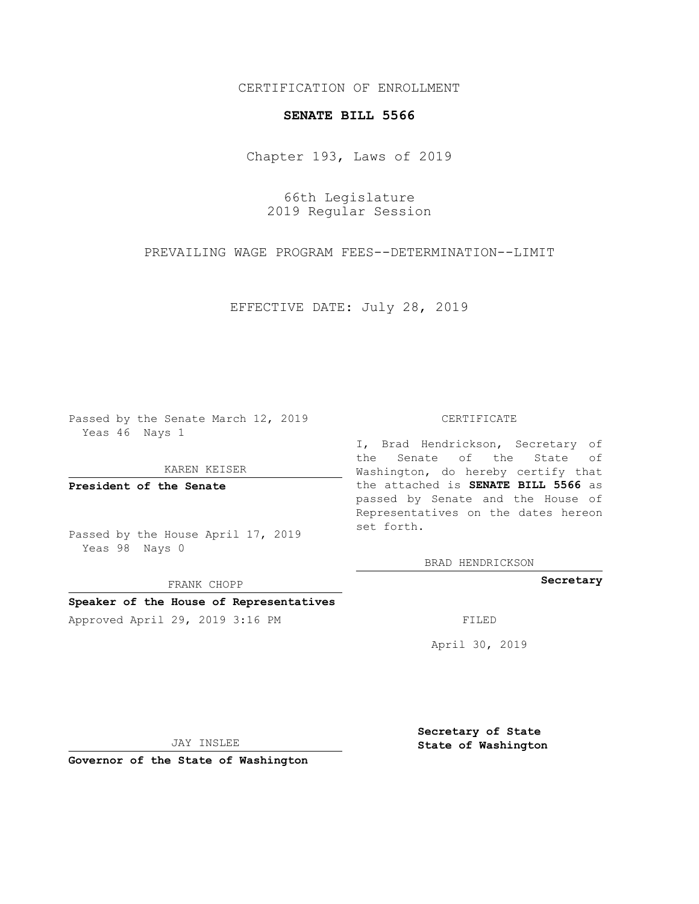CERTIFICATION OF ENROLLMENT

## **SENATE BILL 5566**

Chapter 193, Laws of 2019

66th Legislature 2019 Regular Session

PREVAILING WAGE PROGRAM FEES--DETERMINATION--LIMIT

EFFECTIVE DATE: July 28, 2019

Passed by the Senate March 12, 2019 Yeas 46 Nays 1

KAREN KEISER

**President of the Senate**

Passed by the House April 17, 2019 Yeas 98 Nays 0

FRANK CHOPP

## **Speaker of the House of Representatives**

Approved April 29, 2019 3:16 PM FILED

## CERTIFICATE

I, Brad Hendrickson, Secretary of the Senate of the State of Washington, do hereby certify that the attached is **SENATE BILL 5566** as passed by Senate and the House of Representatives on the dates hereon set forth.

BRAD HENDRICKSON

**Secretary**

April 30, 2019

JAY INSLEE

**Governor of the State of Washington**

**Secretary of State State of Washington**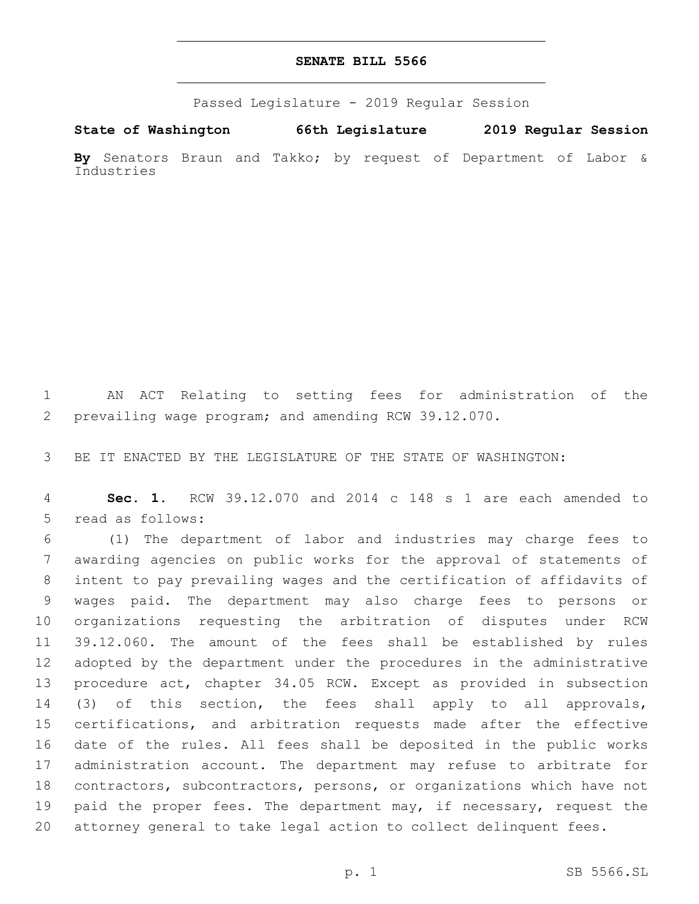## **SENATE BILL 5566**

Passed Legislature - 2019 Regular Session

**State of Washington 66th Legislature 2019 Regular Session By** Senators Braun and Takko; by request of Department of Labor & Industries

 AN ACT Relating to setting fees for administration of the prevailing wage program; and amending RCW 39.12.070.

BE IT ENACTED BY THE LEGISLATURE OF THE STATE OF WASHINGTON:

 **Sec. 1.** RCW 39.12.070 and 2014 c 148 s 1 are each amended to 5 read as follows:

 (1) The department of labor and industries may charge fees to awarding agencies on public works for the approval of statements of intent to pay prevailing wages and the certification of affidavits of wages paid. The department may also charge fees to persons or organizations requesting the arbitration of disputes under RCW 39.12.060. The amount of the fees shall be established by rules adopted by the department under the procedures in the administrative procedure act, chapter 34.05 RCW. Except as provided in subsection (3) of this section, the fees shall apply to all approvals, certifications, and arbitration requests made after the effective date of the rules. All fees shall be deposited in the public works administration account. The department may refuse to arbitrate for contractors, subcontractors, persons, or organizations which have not 19 paid the proper fees. The department may, if necessary, request the attorney general to take legal action to collect delinquent fees.